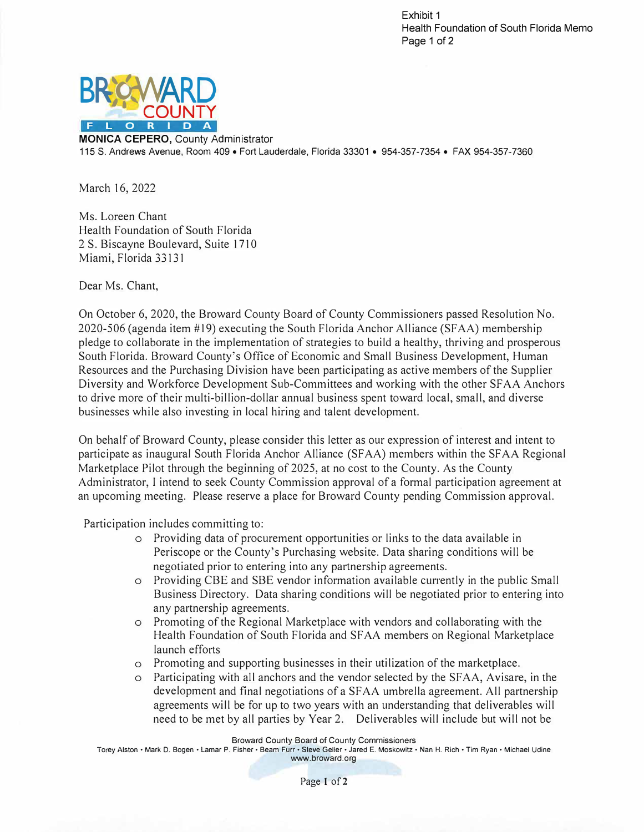Exhibit 1 Health Foundation of South Florida Memo Page 1 of 2



**MONICA CEPERO,** County Administrator 115 S. Andrews Avenue, Room 409 • Fort Lauderdale, Florida 33301 • 954-357-7354 • FAX 954-357-7360

March 16, 2022

Ms. Loreen Chant Health Foundation of South Florida 2 S. Biscayne Boulevard, Suite 1710 Miami, Florida 33131

Dear Ms. Chant,

On October 6, 2020, the Broward County Board of County Commissioners passed Resolution No. 2020-506 (agenda item #19) executing the South Florida Anchor Alliance (SFAA) membership pledge to collaborate in the implementation of strategies to build a healthy, thriving and prosperous South Florida. Broward County's Office of Economic and Small Business Development, Human Resources and the Purchasing Division have been participating as active members of the Supplier Diversity and Workforce Development Sub-Committees and working with the other Sf AA Anchors to drive more of their multi-billion-dollar annual business spent toward local, small, and diverse businesses while also investing in local hiring and talent development.

On behalf of Broward County, please consider this letter as our expression of interest and intent to participate as inaugural South Florida Anchor Alliance (SF AA) members within the SF AA Regional Marketplace Pilot through the beginning of 2025, at no cost to the County. As the County Administrator, I intend to seek County Commission approval of a formal participation agreement at an upcoming meeting. Please reserve a place for Broward County pending Commission approval.

Participation includes committing to:

- o Providing data of procurement opportunities or links to the data available in Periscope or the County's Purchasing website. Data sharing conditions will be negotiated prior to entering into any partnership agreements.
- o Providing CBE and SBE vendor information available currently in the public Small Business Directory. Data sharing conditions will be negotiated prior to entering into any partnership agreements.
- o Promoting of the Regional Marketplace with vendors and collaborating with the Health Foundation of South Florida and SF AA members on Regional Marketplace launch efforts
- o Promoting and supporting businesses in their utilization of the marketplace.
- o Participating with all anchors and the vendor selected by the SFAA, Avisare, in the development and final negotiations of a SFAA umbrella agreement. All partnership agreements will be for up to two years with an understanding that deliverables will need to be met by all parties by Year 2. Deliverables will include but will not be

Broward County Board of County Commissioners

Torey Alston• Mark D. Bogen • Lamar P. Fisher• Beam Furr• Steve Geller• Jared E. Moskowitz• Nan H. Rich • Tim Ryan • Michael Udine www.broward.org